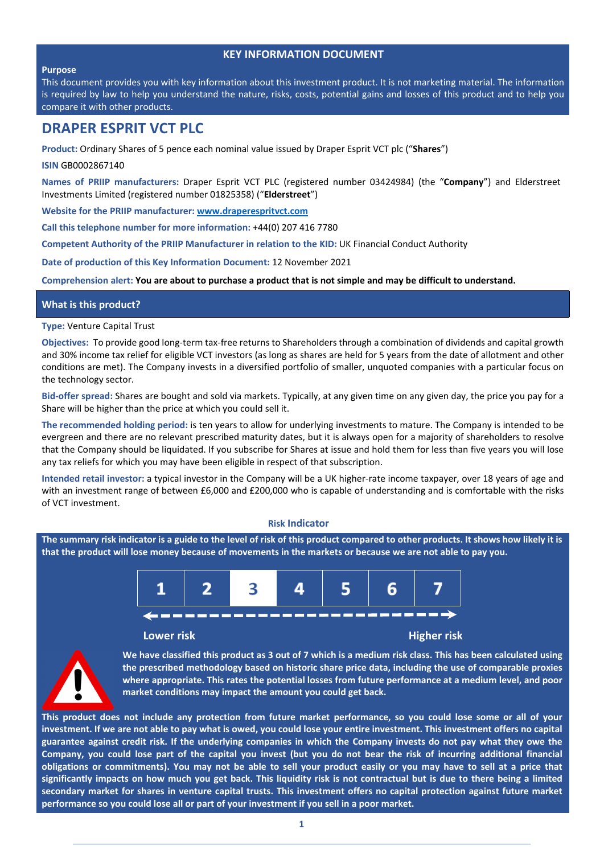# **KEY INFORMATION DOCUMENT**

#### **Purpose**

This document provides you with key information about this investment product. It is not marketing material. The information is required by law to help you understand the nature, risks, costs, potential gains and losses of this product and to help you compare it with other products.

# **DRAPER ESPRIT VCT PLC**

**Product:** Ordinary Shares of 5 pence each nominal value issued by Draper Esprit VCT plc ("**Shares**")

**ISIN** GB0002867140

**Names of PRIIP manufacturers:** Draper Esprit VCT PLC (registered number 03424984) (the "**Company**") and Elderstreet Investments Limited (registered number 01825358) ("**Elderstreet**")

**Website for the PRIIP manufacturer: www.draperespritvct.com**

**Call this telephone number for more information:** +44(0) 207 416 7780

**Competent Authority of the PRIIP Manufacturer in relation to the KID:** UK Financial Conduct Authority

**Date of production of this Key Information Document:** 12 November 2021

Comprehension alert: You are about to purchase a product that is not simple and may be difficult to understand.

# **What is this product?**

**Type:** Venture Capital Trust

**Objectives:** To provide good long‐term tax‐free returns to Shareholders through a combination of dividends and capital growth and 30% income tax relief for eligible VCT investors (as long as shares are held for 5 years from the date of allotment and other conditions are met). The Company invests in a diversified portfolio of smaller, unquoted companies with a particular focus on the technology sector.

**Bid‐offer spread:** Shares are bought and sold via markets. Typically, at any given time on any given day, the price you pay for a Share will be higher than the price at which you could sell it.

**The recommended holding period:** is ten years to allow for underlying investments to mature. The Company is intended to be evergreen and there are no relevant prescribed maturity dates, but it is always open for a majority of shareholders to resolve that the Company should be liquidated. If you subscribe for Shares at issue and hold them for less than five years you will lose any tax reliefs for which you may have been eligible in respect of that subscription.

**Intended retail investor:** a typical investor in the Company will be a UK higher‐rate income taxpayer, over 18 years of age and with an investment range of between £6,000 and £200,000 who is capable of understanding and is comfortable with the risks of VCT investment.

#### **Risk Indicator**

The summary risk indicator is a guide to the level of risk of this product compared to other products. It shows how likely it is that the product will lose money because of movements in the markets or because we are not able to pay you.



#### **Lower risk Higher risk**



We have classified this product as 3 out of 7 which is a medium risk class. This has been calculated using **the prescribed methodology based on historic share price data, including the use of comparable proxies where appropriate. This rates the potential losses from future performance at a medium level, and poor market conditions may impact the amount you could get back.**

This product does not include any protection from future market performance, so you could lose some or all of your investment. If we are not able to pay what is owed, you could lose your entire investment. This investment offers no capital guarantee against credit risk. If the underlying companies in which the Company invests do not pay what they owe the Company, you could lose part of the capital you invest (but you do not bear the risk of incurring additional financial obligations or commitments). You may not be able to sell your product easily or you may have to sell at a price that significantly impacts on how much you get back. This liquidity risk is not contractual but is due to there being a limited secondary market for shares in venture capital trusts. This investment offers no capital protection against future market **performance so you could lose all or part of your investment if you sell in a poor market.**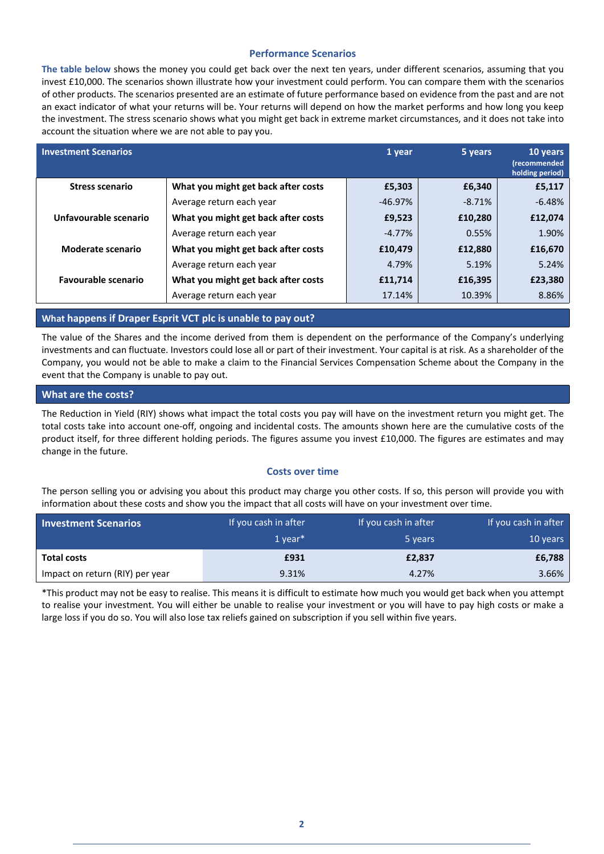# **Performance Scenarios**

**The table below** shows the money you could get back over the next ten years, under different scenarios, assuming that you invest £10,000. The scenarios shown illustrate how your investment could perform. You can compare them with the scenarios of other products. The scenarios presented are an estimate of future performance based on evidence from the past and are not an exact indicator of what your returns will be. Your returns will depend on how the market performs and how long you keep the investment. The stress scenario shows what you might get back in extreme market circumstances, and it does not take into account the situation where we are not able to pay you.

| <b>Investment Scenarios</b> |                                     | 1 year    | 5 years  | 10 years<br>(recommended<br>holding period) |
|-----------------------------|-------------------------------------|-----------|----------|---------------------------------------------|
| <b>Stress scenario</b>      | What you might get back after costs | £5,303    | £6,340   | £5,117                                      |
|                             | Average return each year            | $-46.97%$ | $-8.71%$ | $-6.48%$                                    |
| Unfavourable scenario       | What you might get back after costs | £9,523    | £10,280  | £12,074                                     |
|                             | Average return each year            | $-4.77%$  | 0.55%    | 1.90%                                       |
| Moderate scenario           | What you might get back after costs | £10,479   | £12,880  | £16,670                                     |
|                             | Average return each year            | 4.79%     | 5.19%    | 5.24%                                       |
| <b>Favourable scenario</b>  | What you might get back after costs | £11,714   | £16,395  | £23,380                                     |
|                             | Average return each year            | 17.14%    | 10.39%   | 8.86%                                       |

# **What happens if Draper Esprit VCT plc is unable to pay out?**

The value of the Shares and the income derived from them is dependent on the performance of the Company's underlying investments and can fluctuate. Investors could lose all or part of their investment. Your capital is at risk. As a shareholder of the Company, you would not be able to make a claim to the Financial Services Compensation Scheme about the Company in the event that the Company is unable to pay out.

# **What are the costs?**

The Reduction in Yield (RIY) shows what impact the total costs you pay will have on the investment return you might get. The total costs take into account one‐off, ongoing and incidental costs. The amounts shown here are the cumulative costs of the product itself, for three different holding periods. The figures assume you invest £10,000. The figures are estimates and may change in the future.

# **Costs over time**

The person selling you or advising you about this product may charge you other costs. If so, this person will provide you with information about these costs and show you the impact that all costs will have on your investment over time.

| <b>Investment Scenarios</b>     | If you cash in after  | If you cash in after | If you cash in after |
|---------------------------------|-----------------------|----------------------|----------------------|
|                                 | $1$ vear <sup>*</sup> | 5 years              | 10 years             |
| <b>Total costs</b>              | £931                  | £2,837               | £6,788               |
| Impact on return (RIY) per year | 9.31%                 | 4.27%                | 3.66%                |

\*This product may not be easy to realise. This means it is difficult to estimate how much you would get back when you attempt to realise your investment. You will either be unable to realise your investment or you will have to pay high costs or make a large loss if you do so. You will also lose tax reliefs gained on subscription if you sell within five years.